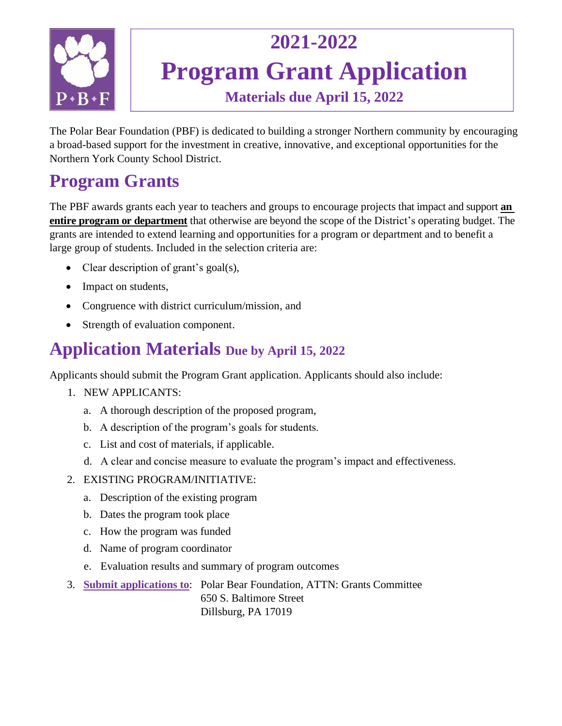

## **2021-2022 Program Grant Application Materials due April 15, 2022**

The Polar Bear Foundation (PBF) is dedicated to building a stronger Northern community by encouraging a broad-based support for the investment in creative, innovative, and exceptional opportunities for the Northern York County School District.

### **Program Grants**

The PBF awards grants each year to teachers and groups to encourage projects that impact and support **an entire program or department** that otherwise are beyond the scope of the District's operating budget. The grants are intended to extend learning and opportunities for a program or department and to benefit a large group of students. Included in the selection criteria are:

- Clear description of grant's goal(s),
- Impact on students,
- Congruence with district curriculum/mission, and
- Strength of evaluation component.

#### **Application Materials Due by April 15, 2022**

Applicants should submit the Program Grant application. Applicants should also include:

- 1. NEW APPLICANTS:
	- a. A thorough description of the proposed program,
	- b. A description of the program's goals for students.
	- c. List and cost of materials, if applicable.
	- d. A clear and concise measure to evaluate the program's impact and effectiveness.
- 2. EXISTING PROGRAM/INITIATIVE:
	- a. Description of the existing program
	- b. Dates the program took place
	- c. How the program was funded
	- d. Name of program coordinator
	- e. Evaluation results and summary of program outcomes
- 3. **Submit applications to**: Polar Bear Foundation, ATTN: Grants Committee 650 S. Baltimore Street Dillsburg, PA 17019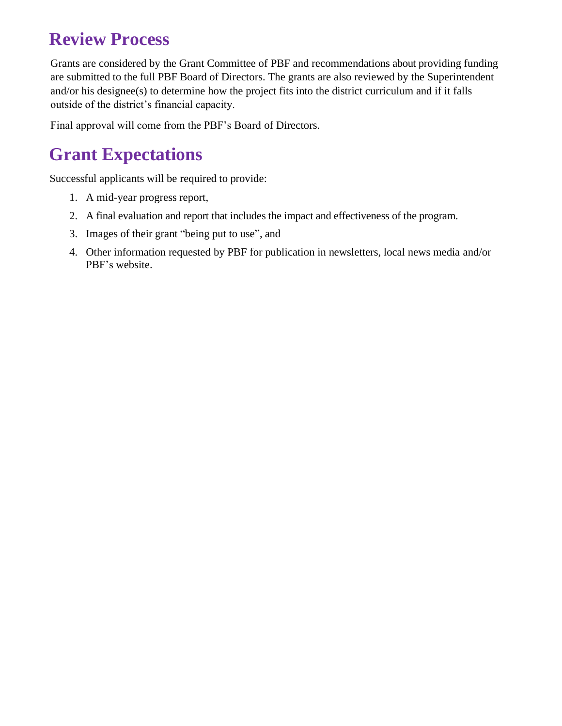#### **Review Process**

Grants are considered by the Grant Committee of PBF and recommendations about providing funding are submitted to the full PBF Board of Directors. The grants are also reviewed by the Superintendent and/or his designee(s) to determine how the project fits into the district curriculum and if it falls outside of the district's financial capacity.

Final approval will come from the PBF's Board of Directors.

#### **Grant Expectations**

Successful applicants will be required to provide:

- 1. A mid-year progress report,
- 2. A final evaluation and report that includes the impact and effectiveness of the program.
- 3. Images of their grant "being put to use", and
- 4. Other information requested by PBF for publication in newsletters, local news media and/or PBF's website.